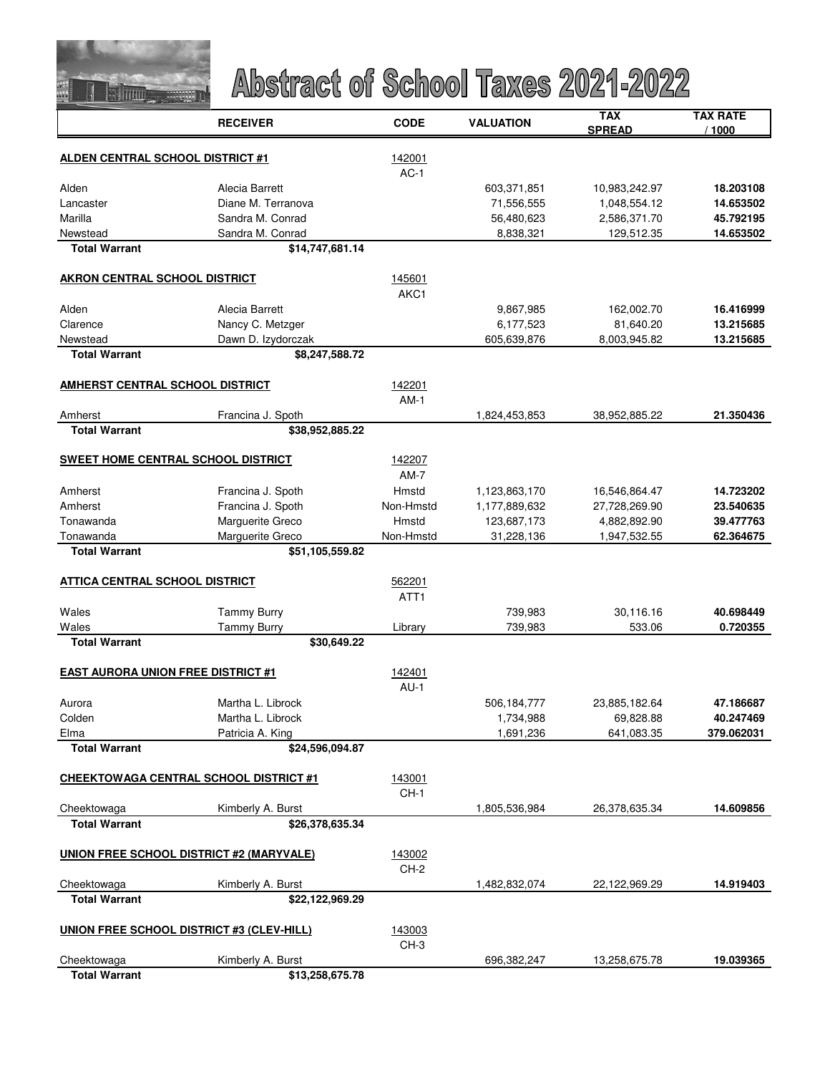

|                                           | <b>RECEIVER</b>                                 | <b>CODE</b> | <b>VALUATION</b> | <b>TAX</b><br><b>SPREAD</b> | <b>TAX RATE</b><br>/ 1000 |
|-------------------------------------------|-------------------------------------------------|-------------|------------------|-----------------------------|---------------------------|
|                                           |                                                 | 142001      |                  |                             |                           |
| ALDEN CENTRAL SCHOOL DISTRICT #1          |                                                 | $AC-1$      |                  |                             |                           |
| Alden                                     | Alecia Barrett                                  |             | 603,371,851      | 10,983,242.97               | 18.203108                 |
| Lancaster                                 | Diane M. Terranova                              |             | 71,556,555       | 1,048,554.12                | 14.653502                 |
| Marilla                                   | Sandra M. Conrad                                |             | 56,480,623       | 2,586,371.70                | 45.792195                 |
| Newstead                                  | Sandra M. Conrad                                |             | 8,838,321        | 129,512.35                  | 14.653502                 |
| <b>Total Warrant</b>                      | \$14,747,681.14                                 |             |                  |                             |                           |
| <b>AKRON CENTRAL SCHOOL DISTRICT</b>      |                                                 | 145601      |                  |                             |                           |
|                                           |                                                 | AKC1        |                  |                             |                           |
| Alden                                     | Alecia Barrett                                  |             | 9,867,985        | 162,002.70                  | 16.416999                 |
| Clarence                                  | Nancy C. Metzger                                |             | 6,177,523        | 81,640.20                   | 13.215685                 |
| Newstead                                  | Dawn D. Izydorczak                              |             | 605,639,876      | 8,003,945.82                | 13.215685                 |
| <b>Total Warrant</b>                      | \$8,247,588.72                                  |             |                  |                             |                           |
| <b>AMHERST CENTRAL SCHOOL DISTRICT</b>    |                                                 | 142201      |                  |                             |                           |
|                                           |                                                 | $AM-1$      |                  |                             |                           |
| Amherst                                   | Francina J. Spoth                               |             | 1,824,453,853    | 38,952,885.22               | 21.350436                 |
| <b>Total Warrant</b>                      | \$38,952,885.22                                 |             |                  |                             |                           |
| <b>SWEET HOME CENTRAL SCHOOL DISTRICT</b> |                                                 | 142207      |                  |                             |                           |
|                                           |                                                 | $AM-7$      |                  |                             |                           |
| Amherst                                   | Francina J. Spoth                               | Hmstd       | 1,123,863,170    | 16,546,864.47               | 14.723202                 |
| Amherst                                   | Francina J. Spoth                               | Non-Hmstd   | 1,177,889,632    | 27,728,269.90               | 23.540635                 |
| Tonawanda                                 | Marguerite Greco                                | Hmstd       | 123,687,173      | 4,882,892.90                | 39.477763                 |
| Tonawanda                                 | Marguerite Greco                                | Non-Hmstd   | 31,228,136       | 1,947,532.55                | 62.364675                 |
| <b>Total Warrant</b>                      | \$51,105,559.82                                 |             |                  |                             |                           |
| <b>ATTICA CENTRAL SCHOOL DISTRICT</b>     |                                                 | 562201      |                  |                             |                           |
|                                           |                                                 | ATT1        |                  |                             |                           |
| Wales                                     | <b>Tammy Burry</b>                              |             | 739,983          | 30,116.16                   | 40.698449                 |
| Wales                                     | <b>Tammy Burry</b>                              | Library     | 739,983          | 533.06                      | 0.720355                  |
| <b>Total Warrant</b>                      | \$30,649.22                                     |             |                  |                             |                           |
| <b>EAST AURORA UNION FREE DISTRICT #1</b> |                                                 | 142401      |                  |                             |                           |
|                                           |                                                 | $AU-1$      |                  |                             |                           |
| Aurora                                    | Martha L. Librock                               |             | 506,184,777      | 23,885,182.64               | 47.186687                 |
| Colden                                    | Martha L. Librock                               |             | 1,734,988        | 69,828.88                   | 40.247469                 |
| Elma                                      | Patricia A. King                                |             | 1,691,236        | 641,083.35                  | 379.062031                |
| <b>Total Warrant</b>                      | \$24,596,094.87                                 |             |                  |                             |                           |
|                                           | <b>CHEEKTOWAGA CENTRAL SCHOOL DISTRICT #1</b>   | 143001      |                  |                             |                           |
|                                           |                                                 | $CH-1$      |                  |                             |                           |
| Cheektowaga                               | Kimberly A. Burst                               |             | 1,805,536,984    | 26,378,635.34               | 14.609856                 |
| <b>Total Warrant</b>                      | \$26,378,635.34                                 |             |                  |                             |                           |
|                                           | <b>UNION FREE SCHOOL DISTRICT #2 (MARYVALE)</b> | 143002      |                  |                             |                           |
|                                           |                                                 | CH-2        |                  |                             |                           |
| Cheektowaga                               | Kimberly A. Burst                               |             | 1,482,832,074    | 22,122,969.29               | 14.919403                 |
| <b>Total Warrant</b>                      | \$22,122,969.29                                 |             |                  |                             |                           |
| UNION FREE SCHOOL DISTRICT #3 (CLEV-HILL) |                                                 | 143003      |                  |                             |                           |
|                                           |                                                 | CH-3        |                  |                             |                           |
| Cheektowaga                               | Kimberly A. Burst                               |             | 696,382,247      | 13,258,675.78               | 19.039365                 |
| <b>Total Warrant</b>                      | \$13,258,675.78                                 |             |                  |                             |                           |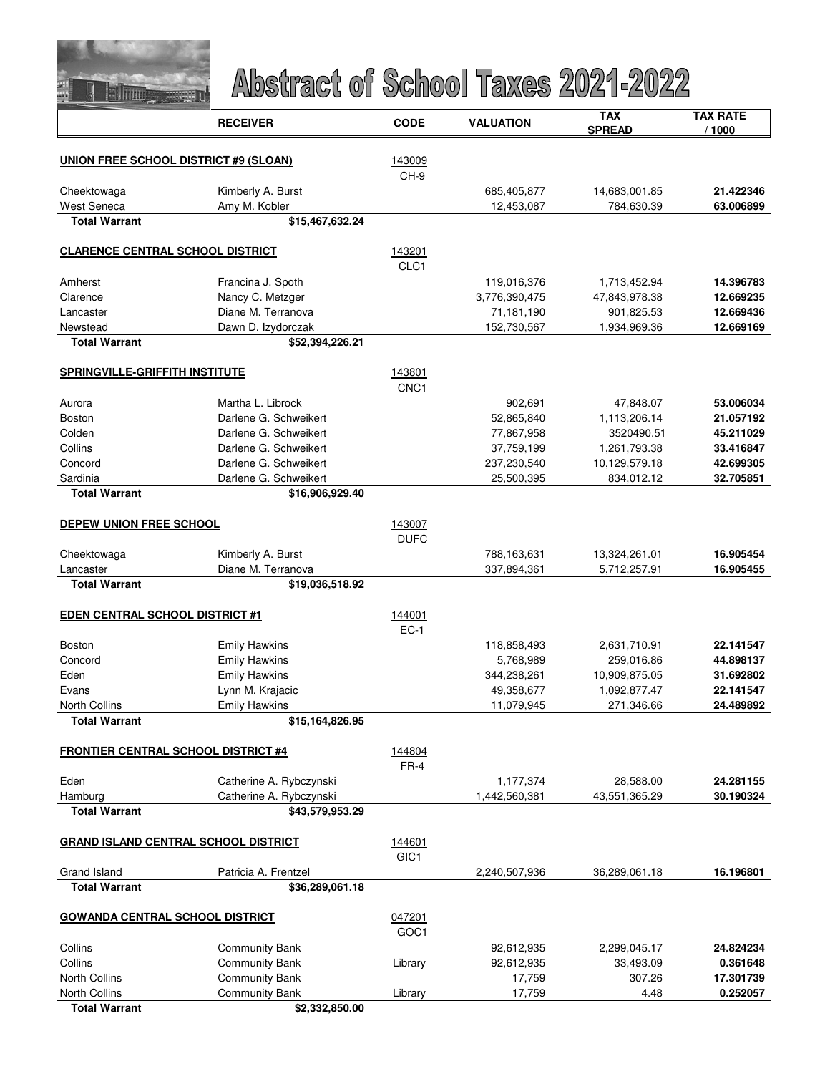

|                                              | <b>RECEIVER</b>         | <b>CODE</b>      | <b>VALUATION</b> | <b>TAX</b><br><b>SPREAD</b> | <b>TAX RATE</b><br>/ 1000 |
|----------------------------------------------|-------------------------|------------------|------------------|-----------------------------|---------------------------|
|                                              |                         |                  |                  |                             |                           |
| <b>UNION FREE SCHOOL DISTRICT #9 (SLOAN)</b> |                         | 143009<br>CH-9   |                  |                             |                           |
| Cheektowaga                                  | Kimberly A. Burst       |                  | 685,405,877      | 14,683,001.85               | 21.422346                 |
| West Seneca                                  | Amy M. Kobler           |                  | 12,453,087       | 784,630.39                  | 63.006899                 |
| <b>Total Warrant</b>                         | \$15,467,632.24         |                  |                  |                             |                           |
| <b>CLARENCE CENTRAL SCHOOL DISTRICT</b>      |                         | 143201           |                  |                             |                           |
|                                              |                         | CLC1             |                  |                             |                           |
| Amherst                                      | Francina J. Spoth       |                  | 119,016,376      | 1,713,452.94                | 14.396783                 |
| Clarence                                     | Nancy C. Metzger        |                  | 3,776,390,475    | 47,843,978.38               | 12.669235                 |
| Lancaster                                    | Diane M. Terranova      |                  | 71,181,190       | 901,825.53                  | 12.669436                 |
| Newstead                                     | Dawn D. Izydorczak      |                  | 152,730,567      | 1,934,969.36                | 12.669169                 |
| <b>Total Warrant</b>                         | \$52,394,226.21         |                  |                  |                             |                           |
| SPRINGVILLE-GRIFFITH INSTITUTE               |                         | 143801           |                  |                             |                           |
|                                              |                         | CNC <sub>1</sub> |                  |                             |                           |
| Aurora                                       | Martha L. Librock       |                  | 902,691          | 47,848.07                   | 53.006034                 |
| Boston                                       | Darlene G. Schweikert   |                  | 52,865,840       | 1,113,206.14                | 21.057192                 |
| Colden                                       | Darlene G. Schweikert   |                  | 77,867,958       | 3520490.51                  | 45.211029                 |
| Collins                                      | Darlene G. Schweikert   |                  | 37,759,199       | 1,261,793.38                | 33.416847                 |
| Concord                                      | Darlene G. Schweikert   |                  | 237,230,540      | 10,129,579.18               | 42.699305                 |
| Sardinia                                     | Darlene G. Schweikert   |                  | 25,500,395       | 834,012.12                  | 32.705851                 |
| <b>Total Warrant</b>                         | \$16,906,929.40         |                  |                  |                             |                           |
| DEPEW UNION FREE SCHOOL                      |                         | 143007           |                  |                             |                           |
|                                              |                         | <b>DUFC</b>      |                  |                             |                           |
| Cheektowaga                                  | Kimberly A. Burst       |                  | 788,163,631      | 13,324,261.01               | 16.905454                 |
| Lancaster                                    | Diane M. Terranova      |                  | 337,894,361      | 5,712,257.91                | 16.905455                 |
| <b>Total Warrant</b>                         | \$19,036,518.92         |                  |                  |                             |                           |
| <b>EDEN CENTRAL SCHOOL DISTRICT #1</b>       |                         | 144001           |                  |                             |                           |
|                                              |                         | $EC-1$           |                  |                             |                           |
| <b>Boston</b>                                | <b>Emily Hawkins</b>    |                  | 118,858,493      | 2,631,710.91                | 22.141547                 |
| Concord                                      | <b>Emily Hawkins</b>    |                  | 5,768,989        | 259,016.86                  | 44.898137                 |
| Eden                                         | <b>Emily Hawkins</b>    |                  | 344,238,261      | 10,909,875.05               | 31.692802                 |
| Evans                                        | Lynn M. Krajacic        |                  | 49,358,677       | 1,092,877.47                | 22.141547                 |
| <b>North Collins</b>                         | <b>Emily Hawkins</b>    |                  | 11,079,945       | 271,346.66                  | 24.489892                 |
| <b>Total Warrant</b>                         | \$15,164,826.95         |                  |                  |                             |                           |
| <b>FRONTIER CENTRAL SCHOOL DISTRICT #4</b>   |                         | 144804           |                  |                             |                           |
|                                              |                         | $FR-4$           |                  |                             |                           |
| Eden                                         | Catherine A. Rybczynski |                  | 1,177,374        | 28,588.00                   | 24.281155                 |
| Hamburg                                      | Catherine A. Rybczynski |                  | 1,442,560,381    | 43,551,365.29               | 30.190324                 |
| <b>Total Warrant</b>                         | \$43,579,953.29         |                  |                  |                             |                           |
| <b>GRAND ISLAND CENTRAL SCHOOL DISTRICT</b>  |                         | 144601           |                  |                             |                           |
|                                              |                         | GIC <sub>1</sub> |                  |                             |                           |
| Grand Island                                 | Patricia A. Frentzel    |                  | 2,240,507,936    | 36,289,061.18               | 16.196801                 |
| <b>Total Warrant</b>                         | \$36,289,061.18         |                  |                  |                             |                           |
| <b>GOWANDA CENTRAL SCHOOL DISTRICT</b>       |                         | 047201           |                  |                             |                           |
|                                              |                         | GOC1             |                  |                             |                           |
| Collins                                      | <b>Community Bank</b>   |                  | 92,612,935       | 2,299,045.17                | 24.824234                 |
| Collins                                      | <b>Community Bank</b>   | Library          | 92,612,935       | 33,493.09                   | 0.361648                  |
| <b>North Collins</b>                         | <b>Community Bank</b>   |                  | 17,759           | 307.26                      | 17.301739                 |
| North Collins                                | <b>Community Bank</b>   | Library          | 17,759           | 4.48                        | 0.252057                  |
| <b>Total Warrant</b>                         | \$2,332,850.00          |                  |                  |                             |                           |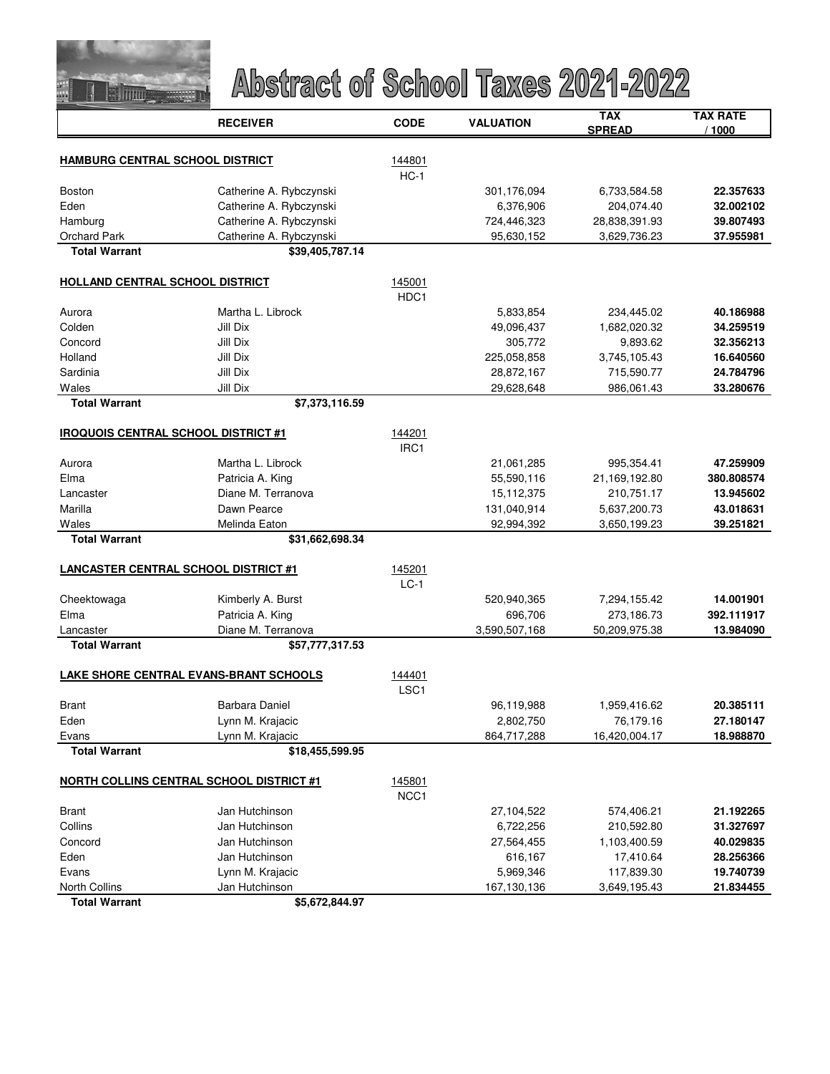

|                                                 | <b>RECEIVER</b>         | <b>CODE</b>      | <b>VALUATION</b> | <b>TAX</b><br><b>SPREAD</b> | <b>TAX RATE</b><br>/1000 |
|-------------------------------------------------|-------------------------|------------------|------------------|-----------------------------|--------------------------|
| HAMBURG CENTRAL SCHOOL DISTRICT                 |                         | 144801           |                  |                             |                          |
|                                                 |                         | $HC-1$           |                  |                             |                          |
| <b>Boston</b>                                   | Catherine A. Rybczynski |                  | 301,176,094      | 6,733,584.58                | 22.357633                |
| Eden                                            | Catherine A. Rybczynski |                  | 6,376,906        | 204,074.40                  | 32.002102                |
| Hamburg                                         | Catherine A. Rybczynski |                  | 724,446,323      | 28,838,391.93               | 39.807493                |
| Orchard Park                                    | Catherine A. Rybczynski |                  | 95,630,152       | 3,629,736.23                | 37.955981                |
| <b>Total Warrant</b>                            | \$39,405,787.14         |                  |                  |                             |                          |
| <b>HOLLAND CENTRAL SCHOOL DISTRICT</b>          |                         | 145001           |                  |                             |                          |
|                                                 |                         | HDC <sub>1</sub> |                  |                             |                          |
| Aurora                                          | Martha L. Librock       |                  | 5,833,854        | 234,445.02                  | 40.186988                |
| Colden                                          | Jill Dix                |                  | 49,096,437       | 1,682,020.32                | 34.259519                |
| Concord                                         | Jill Dix                |                  | 305,772          | 9,893.62                    | 32.356213                |
| Holland                                         | Jill Dix                |                  | 225,058,858      | 3,745,105.43                | 16.640560                |
| Sardinia                                        | Jill Dix                |                  | 28,872,167       | 715,590.77                  | 24.784796                |
| Wales                                           | Jill Dix                |                  | 29,628,648       | 986,061.43                  | 33.280676                |
| <b>Total Warrant</b>                            | \$7,373,116.59          |                  |                  |                             |                          |
| <b>IROQUOIS CENTRAL SCHOOL DISTRICT #1</b>      |                         | 144201           |                  |                             |                          |
|                                                 |                         | IRC <sub>1</sub> |                  |                             |                          |
| Aurora                                          | Martha L. Librock       |                  | 21,061,285       | 995,354.41                  | 47.259909                |
| Elma                                            | Patricia A. King        |                  | 55,590,116       | 21,169,192.80               | 380.808574               |
| Lancaster                                       | Diane M. Terranova      |                  | 15,112,375       | 210,751.17                  | 13.945602                |
| Marilla                                         | Dawn Pearce             |                  | 131,040,914      | 5,637,200.73                | 43.018631                |
| Wales                                           | Melinda Eaton           |                  | 92,994,392       | 3,650,199.23                | 39.251821                |
| <b>Total Warrant</b>                            | \$31,662,698.34         |                  |                  |                             |                          |
| <b>LANCASTER CENTRAL SCHOOL DISTRICT #1</b>     |                         | 145201           |                  |                             |                          |
|                                                 |                         | $LC-1$           |                  |                             |                          |
| Cheektowaga                                     | Kimberly A. Burst       |                  | 520,940,365      | 7,294,155.42                | 14.001901                |
| Elma                                            | Patricia A. King        |                  | 696,706          | 273,186.73                  | 392.111917               |
| Lancaster                                       | Diane M. Terranova      |                  | 3,590,507,168    | 50,209,975.38               | 13.984090                |
| <b>Total Warrant</b>                            | \$57,777,317.53         |                  |                  |                             |                          |
| LAKE SHORE CENTRAL EVANS-BRANT SCHOOLS          |                         | 144401           |                  |                             |                          |
|                                                 |                         | LSC <sub>1</sub> |                  |                             |                          |
| Brant                                           | Barbara Daniel          |                  | 96,119,988       | 1,959,416.62                | 20.385111                |
| Eden                                            | Lynn M. Krajacic        |                  | 2,802,750        | 76,179.16                   | 27.180147                |
| Evans                                           | Lynn M. Krajacic        |                  | 864,717,288      | 16,420,004.17               | 18.988870                |
| <b>Total Warrant</b>                            | \$18,455,599.95         |                  |                  |                             |                          |
| <b>NORTH COLLINS CENTRAL SCHOOL DISTRICT #1</b> |                         | 145801<br>NCC1   |                  |                             |                          |
| Brant                                           | Jan Hutchinson          |                  | 27,104,522       | 574,406.21                  | 21.192265                |
| Collins                                         | Jan Hutchinson          |                  | 6,722,256        | 210,592.80                  | 31.327697                |
| Concord                                         | Jan Hutchinson          |                  | 27,564,455       | 1,103,400.59                | 40.029835                |
| Eden                                            | Jan Hutchinson          |                  | 616,167          | 17,410.64                   | 28.256366                |
| Evans                                           | Lynn M. Krajacic        |                  | 5,969,346        | 117,839.30                  | 19.740739                |
| <b>North Collins</b>                            | Jan Hutchinson          |                  | 167,130,136      | 3,649,195.43                | 21.834455                |
| <b>Total Warrant</b>                            | \$5,672,844.97          |                  |                  |                             |                          |